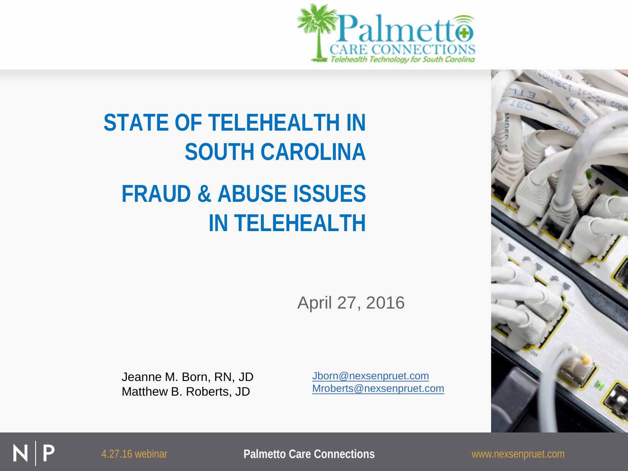



#### **STATE OF TELEHEALTH IN SOUTH CAROLINA FRAUD & ABUSE ISSUES IN TELEHEALTH**

April 27, 2016

Jeanne M. Born, RN, JD Matthew B. Roberts, JD

[Jborn@nexsenpruet.com](mailto:Jborn@nexsenpruet.com) [Mroberts@nexsenpruet.com](mailto:Mroberts@nexsenpruet.com)

4.27.16 webinar **Palmetto Care Connections** www.nexsenpruet.com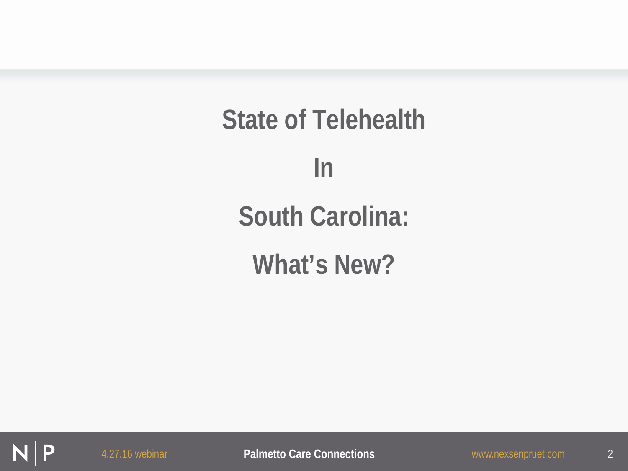**State of Telehealth In South Carolina: What's New?**

P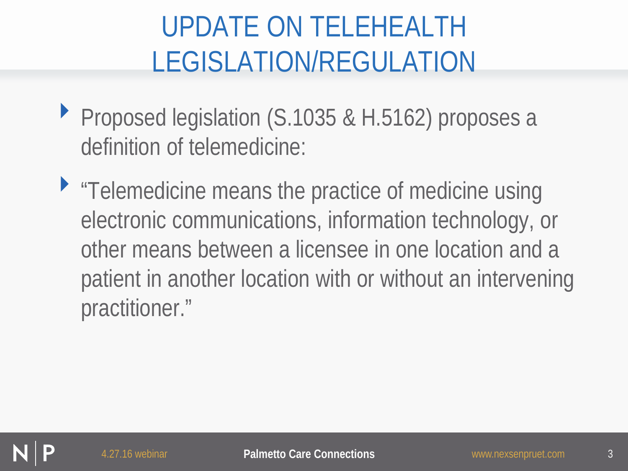- ▶ Proposed legislation (S.1035 & H.5162) proposes a definition of telemedicine:
- "Telemedicine means the practice of medicine using electronic communications, information technology, or other means between a licensee in one location and a patient in another location with or without an intervening practitioner."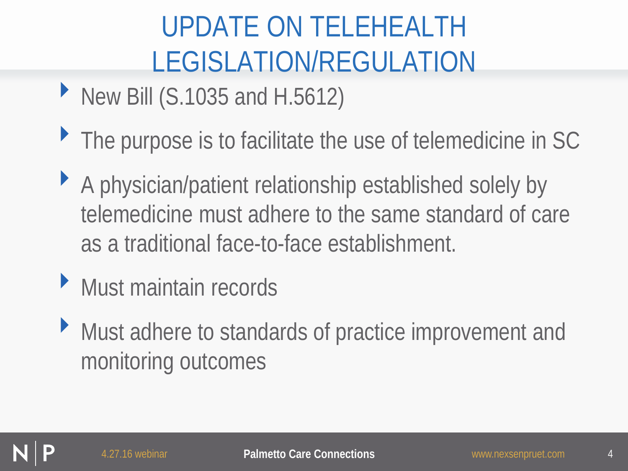- New Bill (S.1035 and H.5612)
- ▶ The purpose is to facilitate the use of telemedicine in SC
- ‣ A physician/patient relationship established solely by telemedicine must adhere to the same standard of care as a traditional face-to-face establishment.
- ‣ Must maintain records
- ‣ Must adhere to standards of practice improvement and monitoring outcomes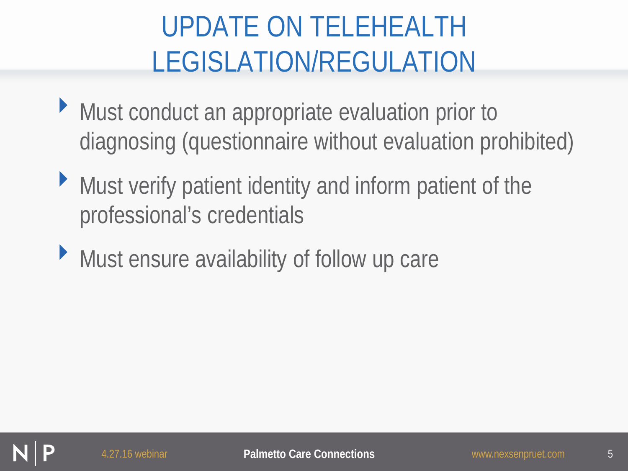- ‣ Must conduct an appropriate evaluation prior to diagnosing (questionnaire without evaluation prohibited)
- ‣ Must verify patient identity and inform patient of the professional's credentials
- ‣ Must ensure availability of follow up care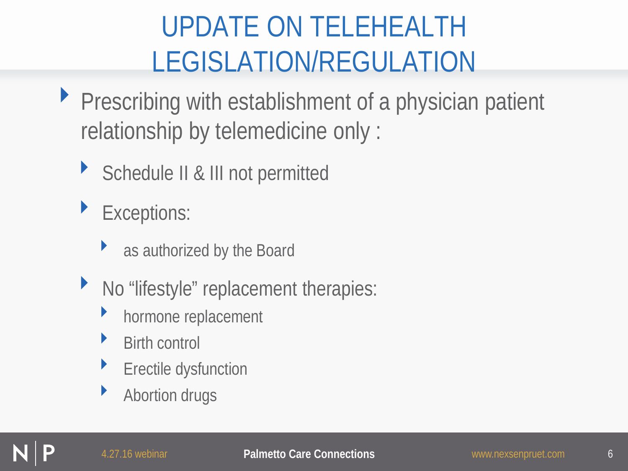- ▶ Prescribing with establishment of a physician patient relationship by telemedicine only :
	- ▶ Schedule II & III not permitted
		- Exceptions:
			- as authorized by the Board
	- ‣ No "lifestyle" replacement therapies:
		- hormone replacement
		- **Birth control**
		- **Erectile dysfunction**
		- Abortion drugs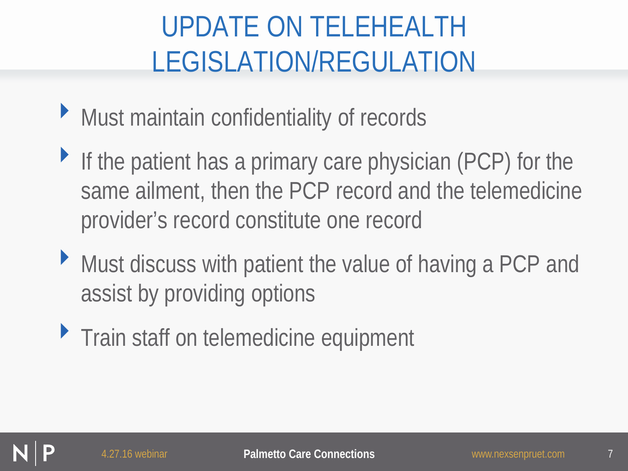- ‣ Must maintain confidentiality of records
- If the patient has a primary care physician (PCP) for the same ailment, then the PCP record and the telemedicine provider's record constitute one record
- ‣ Must discuss with patient the value of having a PCP and assist by providing options
- **Train staff on telemedicine equipment**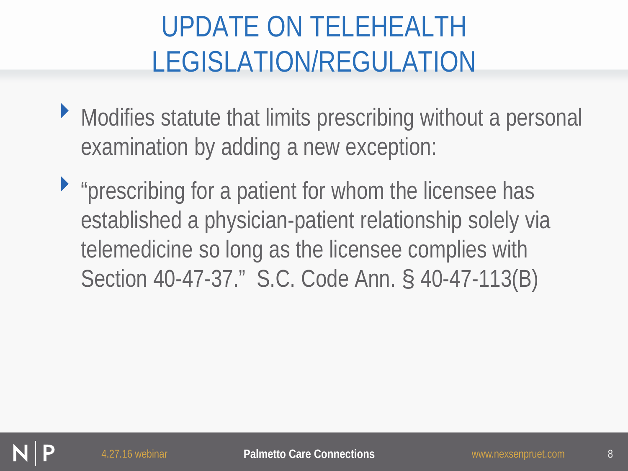- ‣ Modifies statute that limits prescribing without a personal examination by adding a new exception:
- $\blacktriangleright$  "prescribing for a patient for whom the licensee has established a physician-patient relationship solely via telemedicine so long as the licensee complies with Section 40-47-37." S.C. Code Ann. § 40-47-113(B)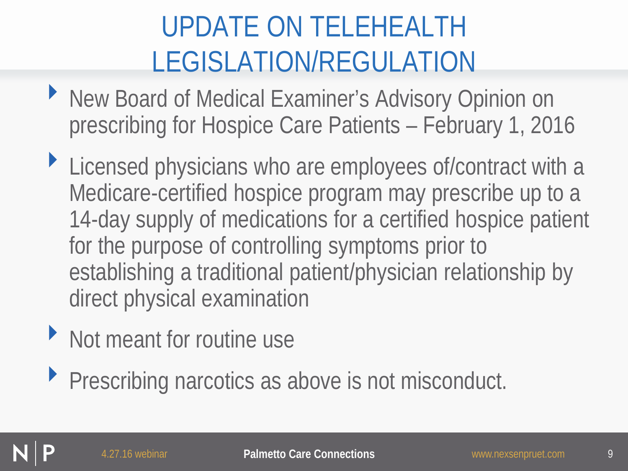- ‣ New Board of Medical Examiner's Advisory Opinion on prescribing for Hospice Care Patients – February 1, 2016
- ‣ Licensed physicians who are employees of/contract with a Medicare-certified hospice program may prescribe up to a 14-day supply of medications for a certified hospice patient for the purpose of controlling symptoms prior to establishing a traditional patient/physician relationship by direct physical examination
- ‣ Not meant for routine use
- ‣ Prescribing narcotics as above is not misconduct.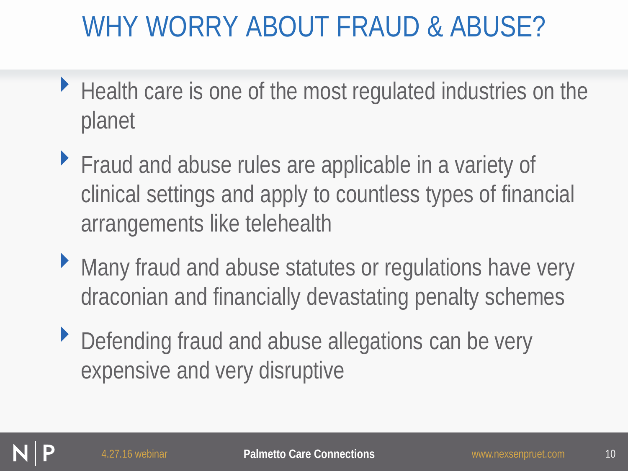## WHY WORRY ABOUT FRAUD & ABUSE?

- ‣ Health care is one of the most regulated industries on the planet
- ‣ Fraud and abuse rules are applicable in a variety of clinical settings and apply to countless types of financial arrangements like telehealth
- ‣ Many fraud and abuse statutes or regulations have very draconian and financially devastating penalty schemes
- ‣ Defending fraud and abuse allegations can be very expensive and very disruptive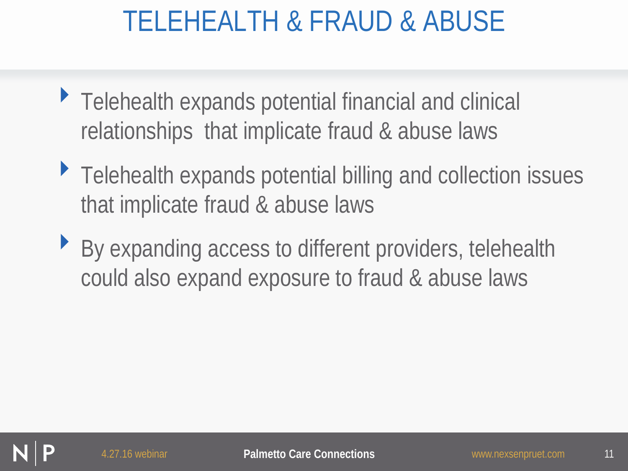## TELEHEALTH & FRAUD & ABUSE

- ‣ Telehealth expands potential financial and clinical relationships that implicate fraud & abuse laws
- ▶ Telehealth expands potential billing and collection issues that implicate fraud & abuse laws
- ‣ By expanding access to different providers, telehealth could also expand exposure to fraud & abuse laws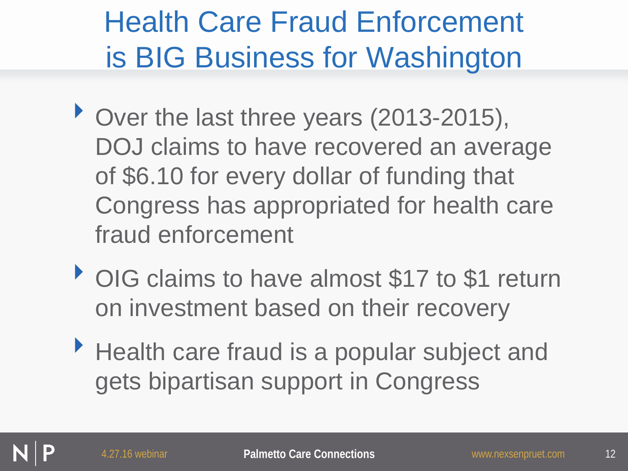# Health Care Fraud Enforcement is BIG Business for Washington

- Over the last three years (2013-2015), DOJ claims to have recovered an average of \$6.10 for every dollar of funding that Congress has appropriated for health care fraud enforcement
- OIG claims to have almost \$17 to \$1 return on investment based on their recovery
- ▶ Health care fraud is a popular subject and gets bipartisan support in Congress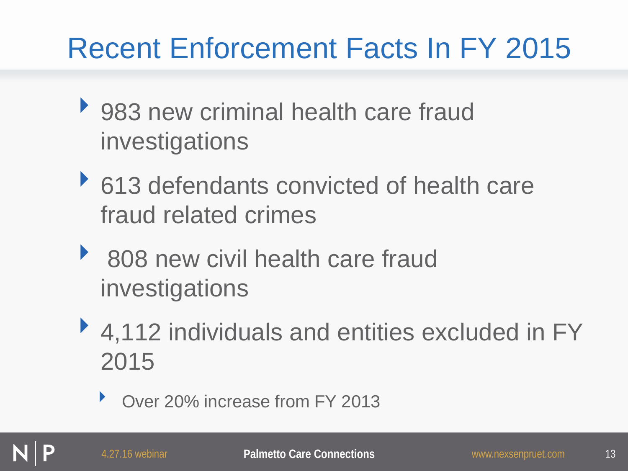# Recent Enforcement Facts In FY 2015

- ▶ 983 new criminal health care fraud investigations
- ▶ 613 defendants convicted of health care fraud related crimes
- ▶ 808 new civil health care fraud investigations
- ▶ 4,112 individuals and entities excluded in FY 2015
	- ‣ Over 20% increase from FY 2013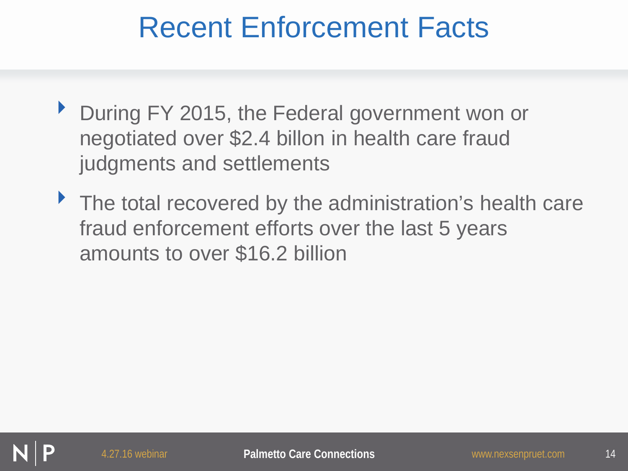#### Recent Enforcement Facts

- ‣ During FY 2015, the Federal government won or negotiated over \$2.4 billon in health care fraud judgments and settlements
- The total recovered by the administration's health care fraud enforcement efforts over the last 5 years amounts to over \$16.2 billion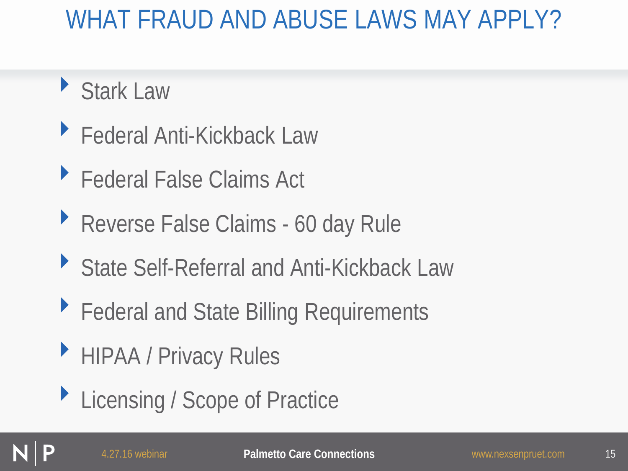#### WHAT FRAUD AND ABUSE LAWS MAY APPLY?

- ‣ Stark Law
- ‣ Federal Anti-Kickback Law
- ▶ Federal False Claims Act
- ▶ Reverse False Claims 60 day Rule
- ▶ State Self-Referral and Anti-Kickback Law
- ▶ Federal and State Billing Requirements
- ‣ HIPAA / Privacy Rules
- ▶ Licensing / Scope of Practice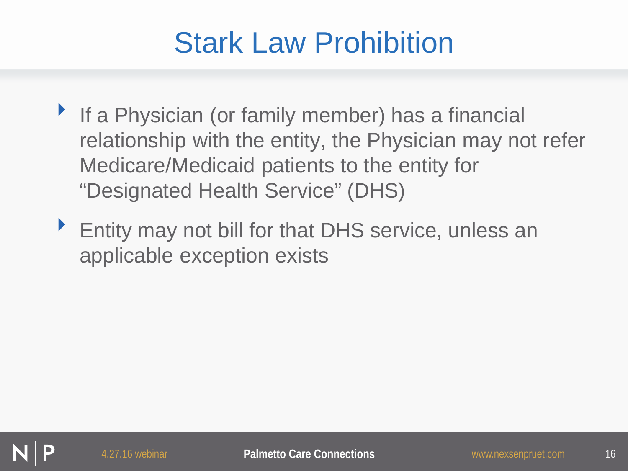## Stark Law Prohibition

- **If a Physician (or family member) has a financial** relationship with the entity, the Physician may not refer Medicare/Medicaid patients to the entity for "Designated Health Service" (DHS)
- ‣ Entity may not bill for that DHS service, unless an applicable exception exists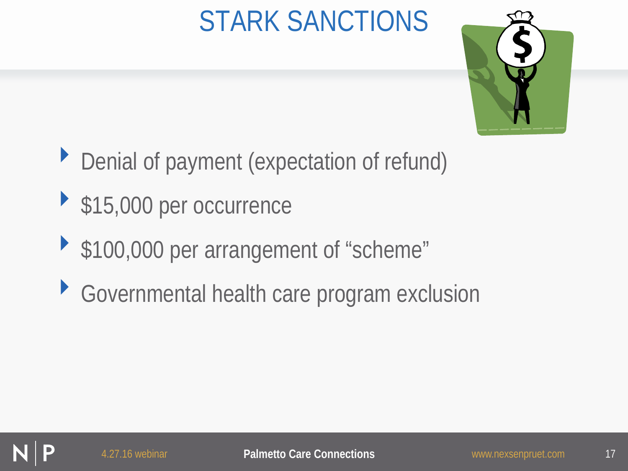# STARK SANCTIONS



- ‣ Denial of payment (expectation of refund)
- ▶ \$15,000 per occurrence
- ‣ \$100,000 per arrangement of "scheme"
- ‣ Governmental health care program exclusion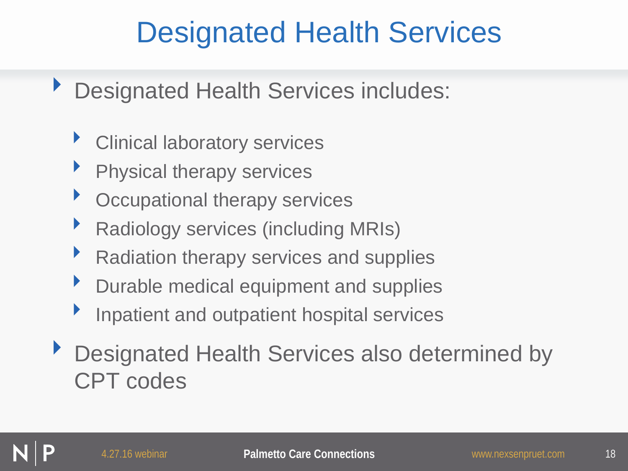#### Designated Health Services

- ‣ Designated Health Services includes:
	- ‣ Clinical laboratory services
	- Physical therapy services
	- Occupational therapy services
	- ‣ Radiology services (including MRIs)
	- ▶ Radiation therapy services and supplies
	- ‣ Durable medical equipment and supplies
	- Inpatient and outpatient hospital services
- Designated Health Services also determined by CPT codes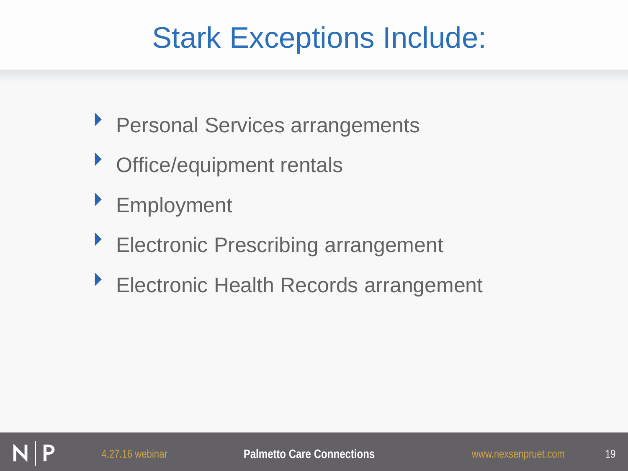# Stark Exceptions Include:

- **Personal Services arrangements**
- **Subseter Christophent rentals**
- ‣ Employment
- ▶ Electronic Prescribing arrangement
- ‣ Electronic Health Records arrangement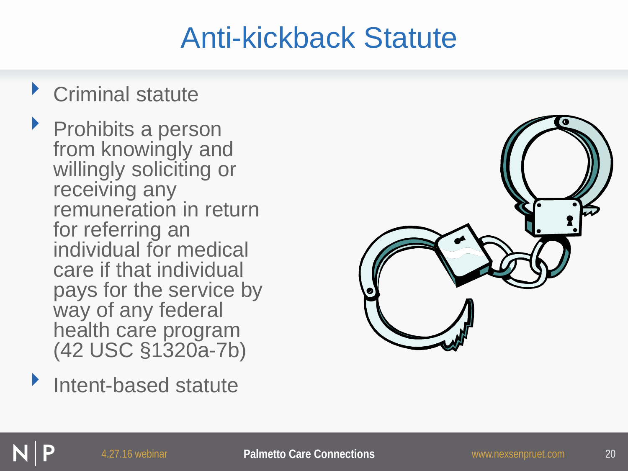#### Anti-kickback Statute

#### ‣ Criminal statute

‣ Prohibits a person from knowingly and willingly soliciting or receiving any remuneration in return for referring an individual for medical care if that individual pays for the service by way of any federal health care program (42 USC §1320a-7b)

Intent-based statute

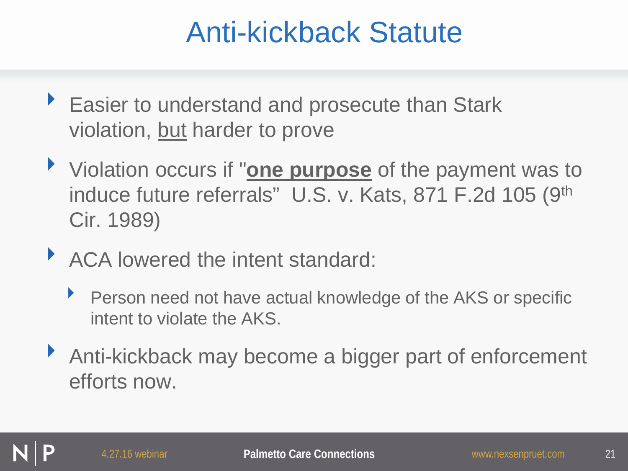#### Anti-kickback Statute

- ▶ Easier to understand and prosecute than Stark violation, but harder to prove
- ‣ Violation occurs if "**one purpose** of the payment was to induce future referrals" U.S. v. Kats, 871 F.2d 105 (9th Cir. 1989)
- ▶ ACA lowered the intent standard:
	- ‣ Person need not have actual knowledge of the AKS or specific intent to violate the AKS.
- ▶ Anti-kickback may become a bigger part of enforcement efforts now.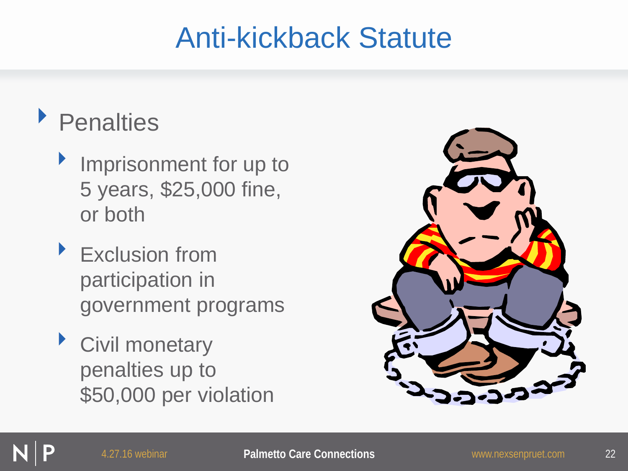#### Anti-kickback Statute

#### ‣ Penalties

- Imprisonment for up to 5 years, \$25,000 fine, or both
- ‣ Exclusion from participation in government programs
- ‣ Civil monetary penalties up to \$50,000 per violation

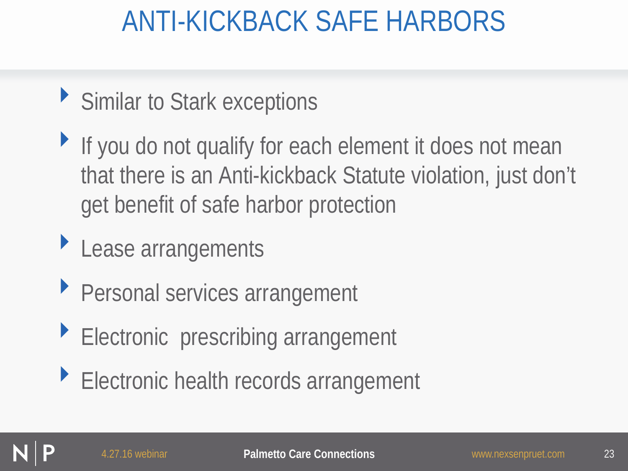### ANTI-KICKBACK SAFE HARBORS

- ▶ Similar to Stark exceptions
- If you do not qualify for each element it does not mean that there is an Anti-kickback Statute violation, just don't get benefit of safe harbor protection
- ‣ Lease arrangements
- **Personal services arrangement**
- **Electronic prescribing arrangement**
- ‣ Electronic health records arrangement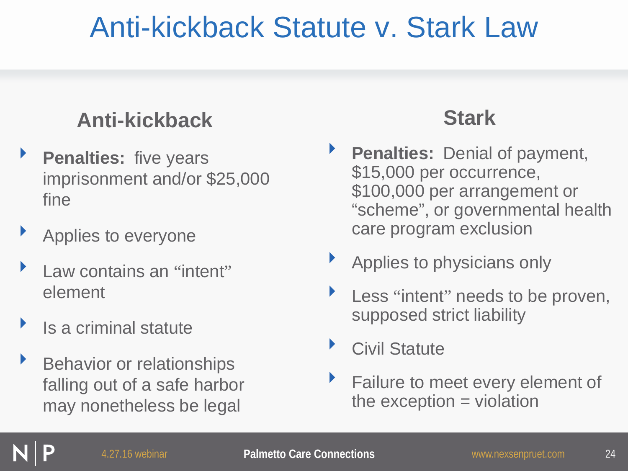### Anti-kickback Statute v. Stark Law

#### **Anti-kickback**

- **Penalties:** five years imprisonment and/or \$25,000 fine
- ‣ Applies to everyone
- Law contains an "intent" element
- ‣ Is a criminal statute
- ‣ Behavior or relationships falling out of a safe harbor may nonetheless be legal

#### **Stark**

- **Penalties: Denial of payment,** \$15,000 per occurrence, \$100,000 per arrangement or "scheme", or governmental health care program exclusion
- ‣ Applies to physicians only
- Less "intent" needs to be proven, supposed strict liability
- ▶ Civil Statute
- **Failure to meet every element of** the exception  $=$  violation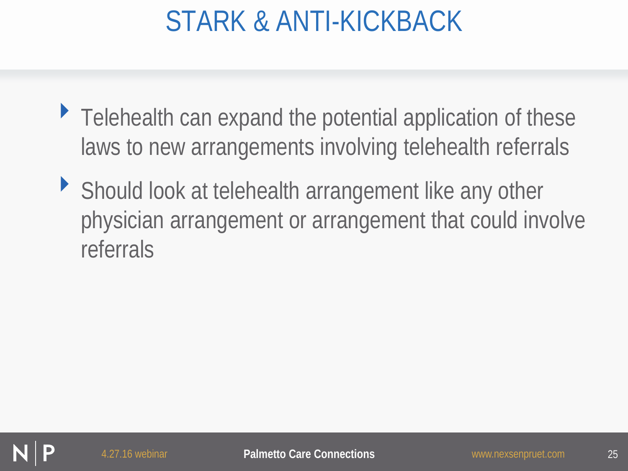## STARK & ANTI-KICKBACK

- $\blacktriangleright$  Telehealth can expand the potential application of these laws to new arrangements involving telehealth referrals
- ‣ Should look at telehealth arrangement like any other physician arrangement or arrangement that could involve referrals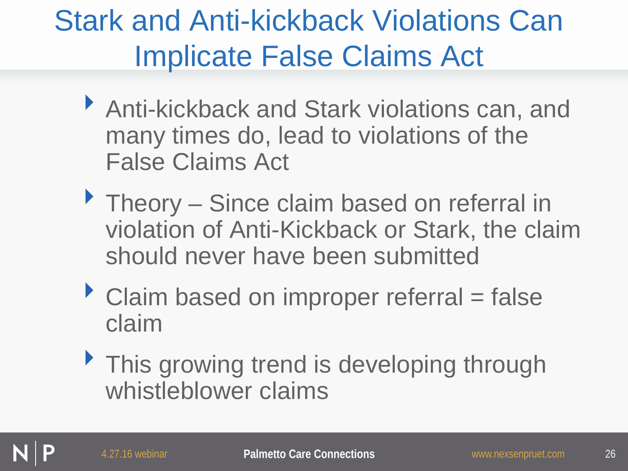# Stark and Anti-kickback Violations Can Implicate False Claims Act

- ‣ Anti-kickback and Stark violations can, and many times do, lead to violations of the False Claims Act
- **Theory Since claim based on referral in** violation of Anti-Kickback or Stark, the claim should never have been submitted
- $\triangleright$  Claim based on improper referral = false claim
- This growing trend is developing through whistleblower claims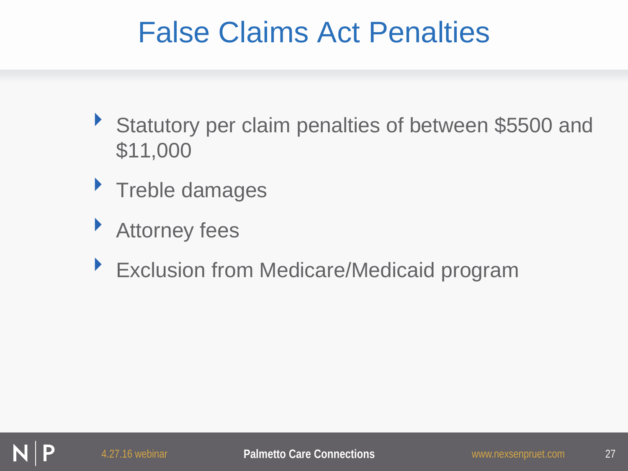#### False Claims Act Penalties

- ‣ Statutory per claim penalties of between \$5500 and \$11,000
- **Treble damages**
- ‣ Attorney fees
- ▶ Exclusion from Medicare/Medicaid program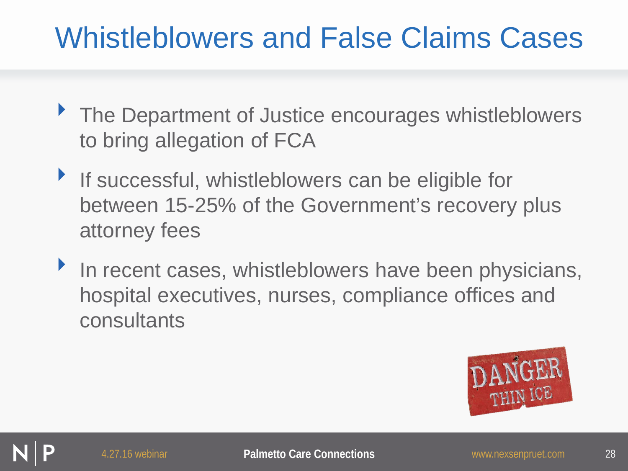# Whistleblowers and False Claims Cases

- ▶ The Department of Justice encourages whistleblowers to bring allegation of FCA
- **If successful, whistleblowers can be eligible for** between 15-25% of the Government's recovery plus attorney fees
- In recent cases, whistleblowers have been physicians, hospital executives, nurses, compliance offices and consultants

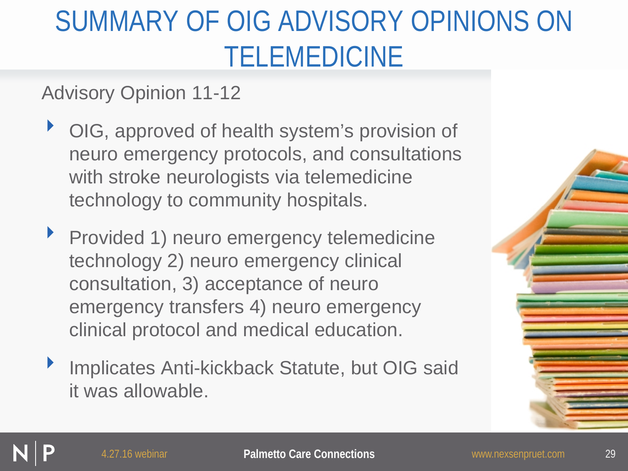# SUMMARY OF OIG ADVISORY OPINIONS ON TELEMEDICINE

Advisory Opinion 11-12

- ▶ OIG, approved of health system's provision of neuro emergency protocols, and consultations with stroke neurologists via telemedicine technology to community hospitals.
- ‣ Provided 1) neuro emergency telemedicine technology 2) neuro emergency clinical consultation, 3) acceptance of neuro emergency transfers 4) neuro emergency clinical protocol and medical education.
- Implicates Anti-kickback Statute, but OIG said it was allowable.

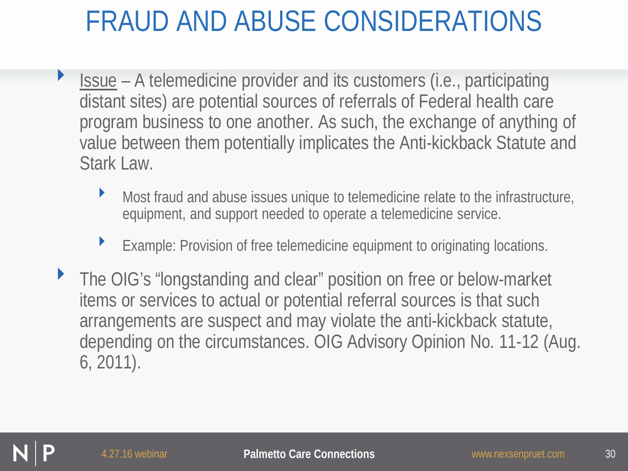# FRAUD AND ABUSE CONSIDERATIONS

- ‣ Issue A telemedicine provider and its customers (i.e., participating distant sites) are potential sources of referrals of Federal health care program business to one another. As such, the exchange of anything of value between them potentially implicates the Anti-kickback Statute and Stark Law.
	- Most fraud and abuse issues unique to telemedicine relate to the infrastructure, equipment, and support needed to operate a telemedicine service.
	- ‣ Example: Provision of free telemedicine equipment to originating locations.
- ‣ The OIG's "longstanding and clear" position on free or below-market items or services to actual or potential referral sources is that such arrangements are suspect and may violate the anti-kickback statute, depending on the circumstances. OIG Advisory Opinion No. 11-12 (Aug. 6, 2011).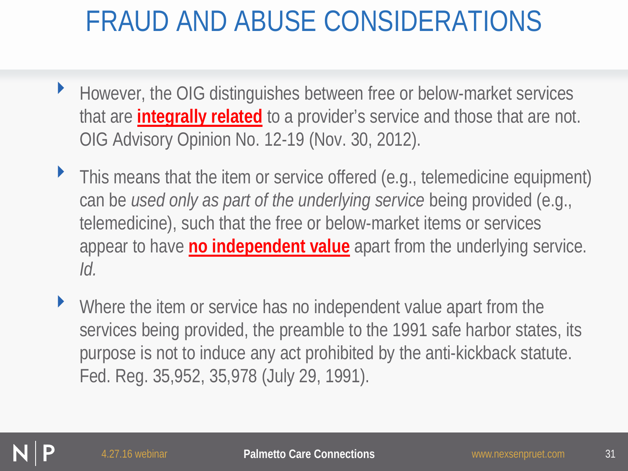## FRAUD AND ABUSE CONSIDERATIONS

- ‣ However, the OIG distinguishes between free or below-market services that are **integrally related** to a provider's service and those that are not. OIG Advisory Opinion No. 12-19 (Nov. 30, 2012).
- ‣ This means that the item or service offered (e.g., telemedicine equipment) can be *used only as part of the underlying service* being provided (e.g., telemedicine), such that the free or below-market items or services appear to have **no independent value** apart from the underlying service. *Id.*
- Where the item or service has no independent value apart from the services being provided, the preamble to the 1991 safe harbor states, its purpose is not to induce any act prohibited by the anti-kickback statute. Fed. Reg. 35,952, 35,978 (July 29, 1991).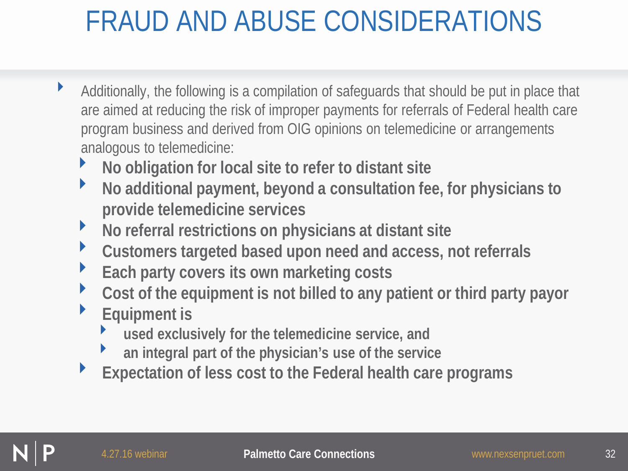# FRAUD AND ABUSE CONSIDERATIONS

- ‣ Additionally, the following is a compilation of safeguards that should be put in place that are aimed at reducing the risk of improper payments for referrals of Federal health care program business and derived from OIG opinions on telemedicine or arrangements analogous to telemedicine:
	- ‣ **No obligation for local site to refer to distant site**
	- ‣ **No additional payment, beyond a consultation fee, for physicians to provide telemedicine services**
	- ‣ **No referral restrictions on physicians at distant site**
	- ‣ **Customers targeted based upon need and access, not referrals**
	- ‣ **Each party covers its own marketing costs**
	- ‣ **Cost of the equipment is not billed to any patient or third party payor**
	- ‣ **Equipment is** 
		- ‣ **used exclusively for the telemedicine service, and**
		- ‣ **an integral part of the physician's use of the service**
	- ‣ **Expectation of less cost to the Federal health care programs**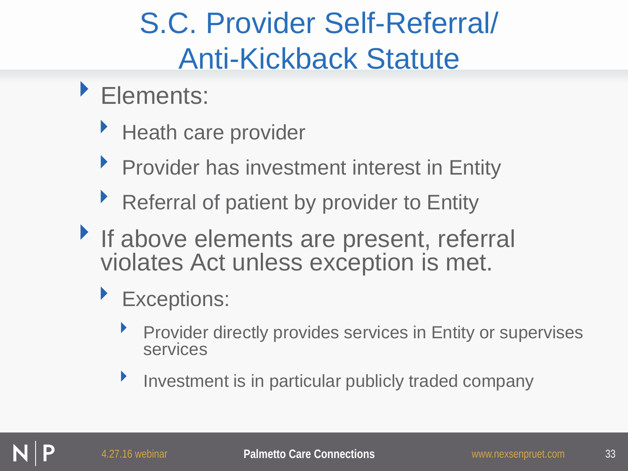# S.C. Provider Self-Referral/ Anti-Kickback Statute

- ‣ Elements:
	- Heath care provider
	- ‣ Provider has investment interest in Entity
	- Referral of patient by provider to Entity
- If above elements are present, referral violates Act unless exception is met.
	- **Exceptions:** 
		- Provider directly provides services in Entity or supervises services
		- **Investment is in particular publicly traded company**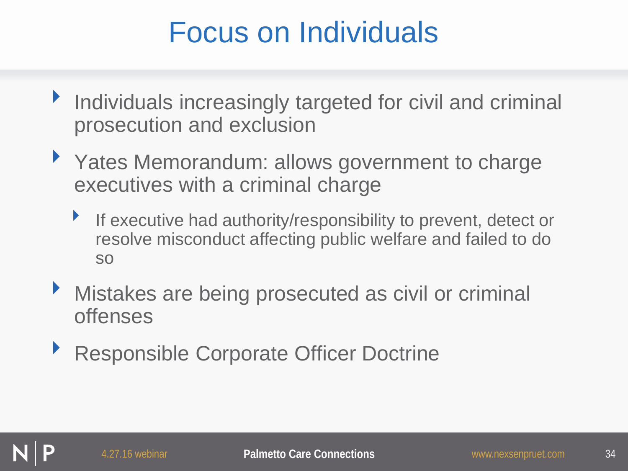### Focus on Individuals

- ‣ Individuals increasingly targeted for civil and criminal prosecution and exclusion
- ▶ Yates Memorandum: allows government to charge executives with a criminal charge
	- ‣ If executive had authority/responsibility to prevent, detect or resolve misconduct affecting public welfare and failed to do so
- **Mistakes are being prosecuted as civil or criminal** offenses
- ▶ Responsible Corporate Officer Doctrine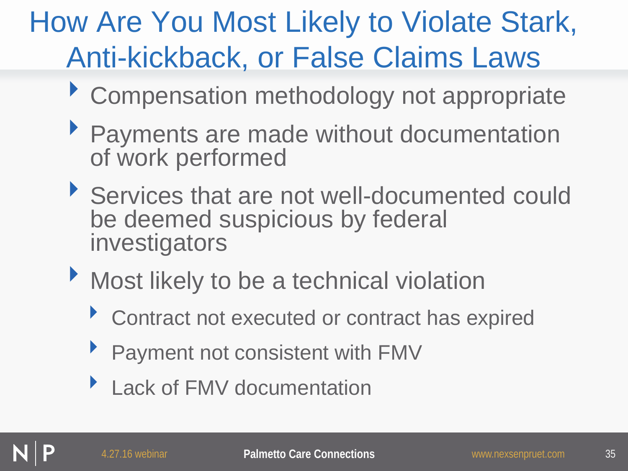# How Are You Most Likely to Violate Stark, Anti-kickback, or False Claims Laws

- ‣ Compensation methodology not appropriate
- ‣ Payments are made without documentation of work performed
- ‣ Services that are not well-documented could be deemed suspicious by federal investigators
- ‣ Most likely to be a technical violation
	- ‣ Contract not executed or contract has expired
	- Payment not consistent with FMV
	- Lack of FMV documentation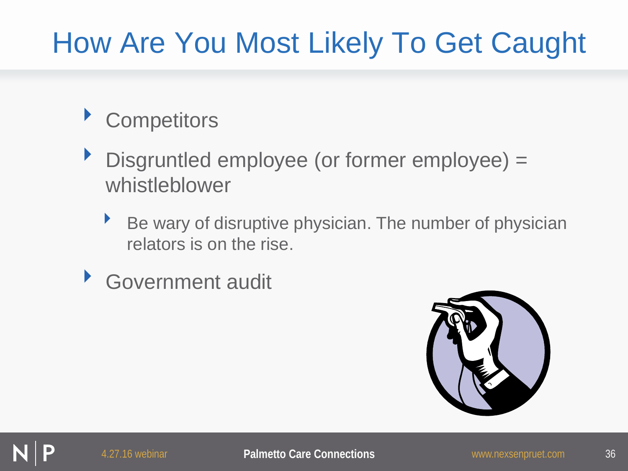# How Are You Most Likely To Get Caught

#### **Competitors**

- ‣ Disgruntled employee (or former employee) = whistleblower
	- ‣ Be wary of disruptive physician. The number of physician relators is on the rise.
- Government audit

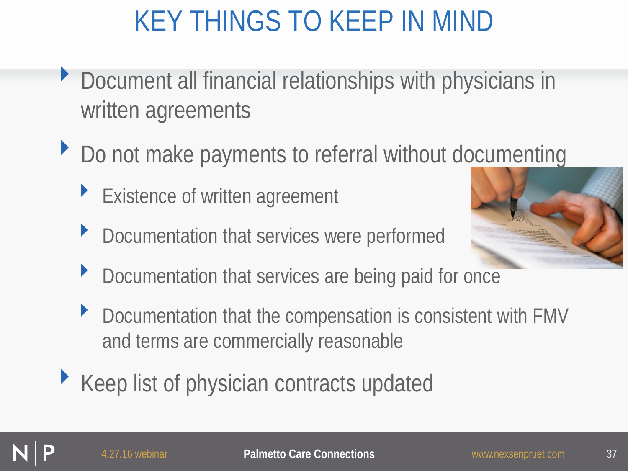# KEY THINGS TO KEEP IN MIND

- ‣ Document all financial relationships with physicians in written agreements
- ▶ Do not make payments to referral without documenting
	- **Existence of written agreement**
	- ▶ Documentation that services were performed



- ▶ Documentation that services are being paid for once
- ‣ Documentation that the compensation is consistent with FMV and terms are commercially reasonable
- ▶ Keep list of physician contracts updated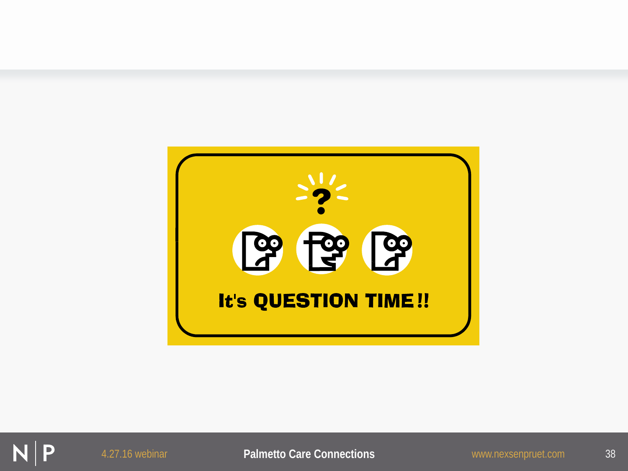

P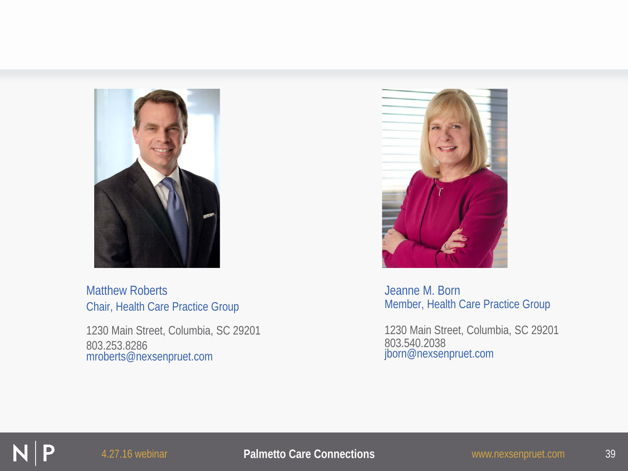

Matthew Roberts Chair, Health Care Practice Group

1230 Main Street, Columbia, SC 29201 803.253.8286 mroberts@nexsenpruet.com



Jeanne M. Born Member, Health Care Practice Group

1230 Main Street, Columbia, SC 29201 803.540.2038 jborn@nexsenpruet.com

#### 4.27.16 webinar **Palmetto Care Connections** www.nexsenpruet.com 39